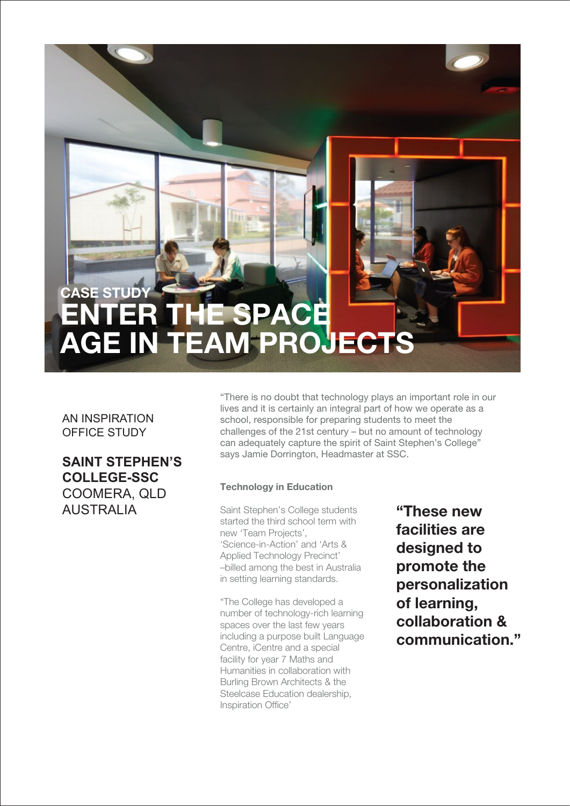# CASE STUD ENTER THE SPACE AGE IN TEAM PROJECTS

### AN INSPIRATION OFFICE STUDY

**SAINT STEPHEN'S COLLEGE-SSC** COOMERA, QLD AUSTRALIA

"There is no doubt that technology plays an important role in our lives and it is certainly an integral part of how we operate as a school, responsible for preparing students to meet the challenges of the 21st century – but no amount of technology can adequately capture the spirit of Saint Stephen's College" says Jamie Dorrington, Headmaster at SSC.

#### Technology in Education

Saint Stephen's College students started the third school term with new 'Team Projects', 'Science-in-Action' and 'Arts & Applied Technology Precinct' –billed among the best in Australia in setting learning standards.

"The College has developed a number of technology-rich learning spaces over the last few years including a purpose built Language Centre, iCentre and a special facility for year 7 Maths and Humanities in collaboration with Burling Brown Architects & the Steelcase Education dealership, Inspiration Office'

"These new facilities are designed to promote the personalization of learning, collaboration & communication."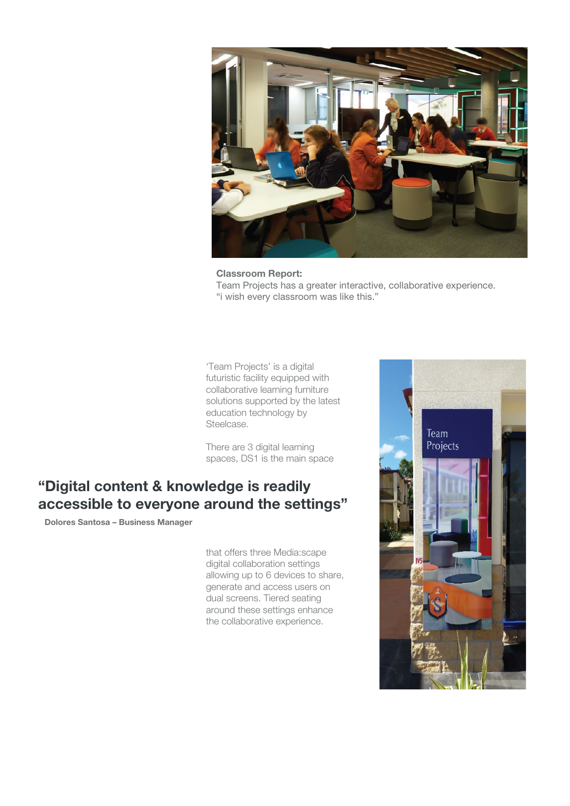

Classroom Report: Team Projects has a greater interactive, collaborative experience. "i wish every classroom was like this."

'Team Projects' is a digital futuristic facility equipped with collaborative learning furniture solutions supported by the latest education technology by Steelcase.

There are 3 digital learning spaces, DS1 is the main space

## "Digital content & knowledge is readily accessible to everyone around the settings"

Dolores Santosa – Business Manager

that offers three Media:scape digital collaboration settings allowing up to 6 devices to share, generate and access users on dual screens. Tiered seating around these settings enhance the collaborative experience.

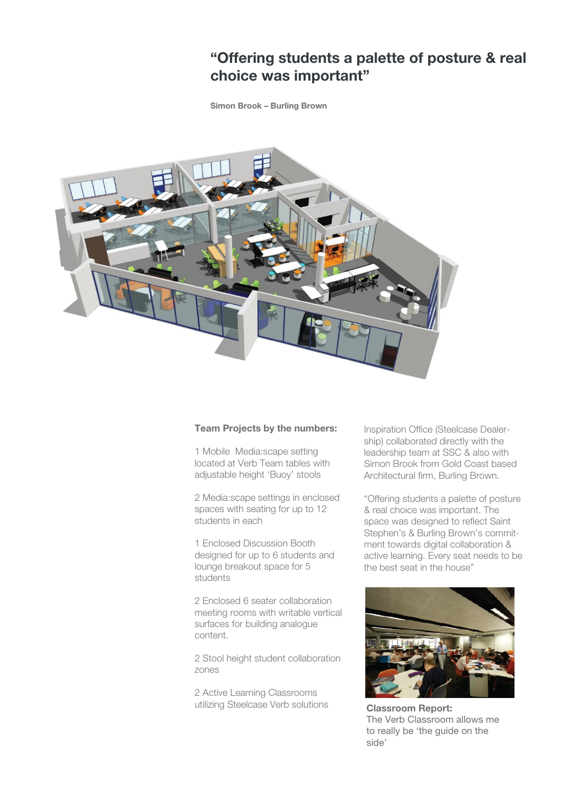### "Offering students a palette of posture & real choice was important"

Simon Brook – Burling Brown



#### Team Projects by the numbers:

1 Mobile Media:scape setting located at Verb Team tables with adjustable height 'Buoy' stools

2 Media:scape settings in enclosed spaces with seating for up to 12 students in each

1 Enclosed Discussion Booth designed for up to 6 students and lounge breakout space for 5 students

2 Enclosed 6 seater collaboration meeting rooms with writable vertical surfaces for building analogue content.

2 Stool height student collaboration zones

2 Active Learning Classrooms utilizing Steelcase Verb solutions Inspiration Office (Steelcase Dealership) collaborated directly with the leadership team at SSC & also with Simon Brook from Gold Coast based Architectural firm, Burling Brown.

"Offering students a palette of posture & real choice was important. The space was designed to reflect Saint Stephen's & Burling Brown's commitment towards digital collaboration & active learning. Every seat needs to be the best seat in the house"



Classroom Report: The Verb Classroom allows me to really be 'the guide on the side'